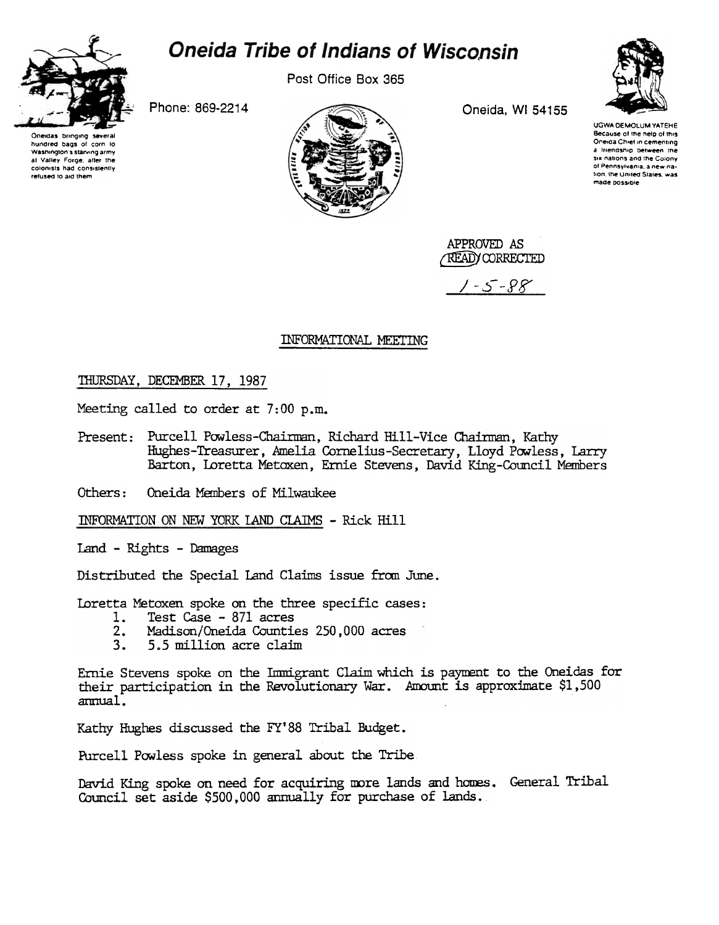

## **Oneida Tribe of Indians of Wisconsin**

Post Office Box 365

Phone: 869-2214





Oneida, WI 54155



**UGWA DEMOLUM YATEHE** Because of the help of this Oneida Chief in cementing a triendship between the<br>six nations and the Colony of Pennsylvania, a new nation, the United States, was made possible

APPROVED AS **READY CORRECTED** 

 $-5 - 98$ 

## INFORMATIONAL MEETING

## THURSDAY, DECEMBER 17, 1987

Meeting called to order at 7:00 p.m.

Present: Purcell Powless-Chairman, Richard Hill-Vice Chairman, Kathy Hughes-Treasurer, Amelia Cornelius-Secretary, Lloyd Powless, Larry Barton, Loretta Metoxen, Ernie Stevens, David King-Council Members

Oneida Members of Milwaukee Others:

INFORMATION ON NEW YORK LAND CLAIMS - Rick Hill

Land - Rights - Damages

Distributed the Special Land Claims issue from June.

Loretta Metoxen spoke on the three specific cases:

- Test Case 871 acres  $1.$
- $2.$ Madison/Oneida Counties 250,000 acres
- 5.5 million acre claim  $3<sub>1</sub>$

Ernie Stevens spoke on the Immigrant Claim which is payment to the Oneidas for their participation in the Revolutionary War. Amount is approximate \$1,500 annual.

Kathy Hughes discussed the FY'88 Tribal Budget.

Purcell Powless spoke in general about the Tribe.

David King spoke on need for acquiring more lands and homes. General Tribal Council set aside \$500,000 annually for purchase of lands.